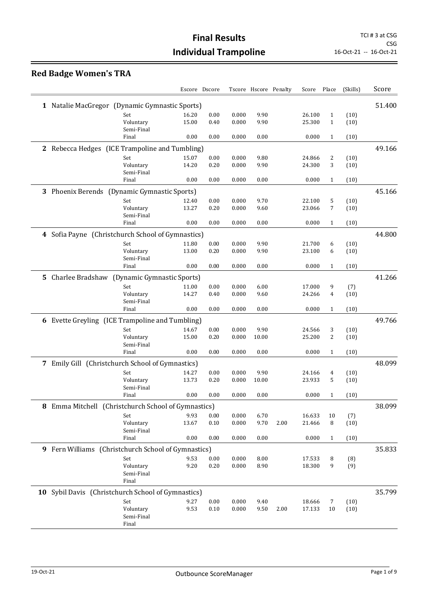# **Red Badge Women's TRA**

|                                                     |                         |              | Escore Dscore |                | Tscore Hscore Penalty |      | Score            | Place        | (Skills) | Score  |
|-----------------------------------------------------|-------------------------|--------------|---------------|----------------|-----------------------|------|------------------|--------------|----------|--------|
| 1 Natalie MacGregor (Dynamic Gymnastic Sports)      |                         |              |               |                |                       |      |                  |              |          | 51.400 |
|                                                     | Set                     | 16.20        | 0.00          | 0.000          | 9.90                  |      | 26.100           | $\mathbf{1}$ | (10)     |        |
|                                                     | Voluntary               | 15.00        | 0.40          | 0.000          | 9.90                  |      | 25.300           | $\mathbf{1}$ | (10)     |        |
|                                                     | Semi-Final              |              |               |                |                       |      |                  |              |          |        |
|                                                     | Final                   | 0.00         | 0.00          | 0.000          | 0.00                  |      | 0.000            | $\mathbf{1}$ | (10)     |        |
| 2 Rebecca Hedges (ICE Trampoline and Tumbling)      |                         |              |               |                |                       |      |                  |              |          | 49.166 |
|                                                     | Set                     | 15.07        | 0.00          | 0.000          | 9.80                  |      | 24.866           | 2            | (10)     |        |
|                                                     | Voluntary               | 14.20        | 0.20          | 0.000          | 9.90                  |      | 24.300           | 3            | (10)     |        |
|                                                     | Semi-Final              |              |               |                |                       |      |                  |              |          |        |
|                                                     | Final                   | 0.00         | 0.00          | 0.000          | 0.00                  |      | 0.000            | $\mathbf{1}$ | (10)     |        |
| 3 Phoenix Berends (Dynamic Gymnastic Sports)        |                         |              |               |                |                       |      |                  |              |          | 45.166 |
|                                                     | Set                     | 12.40        | 0.00          | 0.000          | 9.70                  |      | 22.100           | 5            | (10)     |        |
|                                                     | Voluntary               | 13.27        | 0.20          | 0.000          | 9.60                  |      | 23.066           | 7            | (10)     |        |
|                                                     | Semi-Final              |              |               |                |                       |      |                  |              |          |        |
|                                                     | Final                   | 0.00         | 0.00          | 0.000          | 0.00                  |      | 0.000            | $\mathbf{1}$ | (10)     |        |
| 4 Sofia Payne (Christchurch School of Gymnastics)   |                         |              |               |                |                       |      |                  |              |          | 44.800 |
|                                                     | Set                     | 11.80        | 0.00          | 0.000          | 9.90                  |      | 21.700           | 6            | (10)     |        |
|                                                     | Voluntary               | 13.00        | 0.20          | 0.000          | 9.90                  |      | 23.100           | 6            | (10)     |        |
|                                                     | Semi-Final              |              |               |                |                       |      |                  |              |          |        |
|                                                     | Final                   | 0.00         | $0.00\,$      | 0.000          | 0.00                  |      | 0.000            | $\mathbf{1}$ | (10)     |        |
| 5 Charlee Bradshaw (Dynamic Gymnastic Sports)       |                         |              |               |                |                       |      |                  |              |          | 41.266 |
|                                                     | Set                     | 11.00        | 0.00          | 0.000          | 6.00                  |      | 17.000           | 9            | (7)      |        |
|                                                     | Voluntary               | 14.27        | 0.40          | 0.000          | 9.60                  |      | 24.266           | 4            | (10)     |        |
|                                                     | Semi-Final<br>Final     | $0.00\,$     | 0.00          | 0.000          | 0.00                  |      | 0.000            | $\mathbf{1}$ |          |        |
|                                                     |                         |              |               |                |                       |      |                  |              | (10)     |        |
| 6 Evette Greyling (ICE Trampoline and Tumbling)     |                         |              |               |                |                       |      |                  |              |          | 49.766 |
|                                                     | Set                     | 14.67        | 0.00          | 0.000          | 9.90                  |      | 24.566           | 3            | (10)     |        |
|                                                     | Voluntary               | 15.00        | 0.20          | 0.000          | 10.00                 |      | 25.200           | 2            | (10)     |        |
|                                                     | Semi-Final              |              |               |                |                       |      |                  |              |          |        |
|                                                     | Final                   | 0.00         | 0.00          | 0.000          | 0.00                  |      | 0.000            | $\mathbf{1}$ | (10)     |        |
| 7 Emily Gill (Christchurch School of Gymnastics)    |                         |              |               |                |                       |      |                  |              |          | 48.099 |
|                                                     | Set                     | 14.27        | 0.00          | 0.000          | 9.90                  |      | 24.166           | 4            | (10)     |        |
|                                                     | Voluntary               | 13.73        | 0.20          | 0.000          | 10.00                 |      | 23.933           | 5            | (10)     |        |
|                                                     | Semi-Final              |              |               |                |                       |      |                  |              |          |        |
|                                                     | Final                   | 0.00         | 0.00          | 0.000          | 0.00                  |      | 0.000            | $\mathbf{1}$ | (10)     |        |
| 8 Emma Mitchell (Christchurch School of Gymnastics) |                         |              |               |                |                       |      |                  |              |          | 38.099 |
|                                                     | Set                     | 9.93         | 0.00          | 0.000          | 6.70                  |      | 16.633           | 10           | (7)      |        |
|                                                     | Voluntary<br>Semi-Final | 13.67        | 0.10          | 0.000          | 9.70                  | 2.00 | 21.466           | 8            | (10)     |        |
|                                                     | Final                   | 0.00         | 0.00          | 0.000          | 0.00                  |      | 0.000            | 1            | (10)     |        |
|                                                     |                         |              |               |                |                       |      |                  |              |          |        |
| 9 Fern Williams (Christchurch School of Gymnastics) |                         |              |               |                |                       |      |                  |              |          | 35.833 |
|                                                     | Set                     | 9.53         | 0.00          | 0.000          | 8.00                  |      | 17.533           | 8            | (8)      |        |
|                                                     | Voluntary               | 9.20         | 0.20          | 0.000          | 8.90                  |      | 18.300           | 9            | (9)      |        |
|                                                     | Semi-Final<br>Final     |              |               |                |                       |      |                  |              |          |        |
|                                                     |                         |              |               |                |                       |      |                  |              |          | 35.799 |
| 10 Sybil Davis (Christchurch School of Gymnastics)  |                         |              |               |                |                       |      |                  |              |          |        |
|                                                     | Set<br>Voluntary        | 9.27<br>9.53 | 0.00<br>0.10  | 0.000<br>0.000 | 9.40<br>9.50          | 2.00 | 18.666<br>17.133 | 7            | (10)     |        |
|                                                     | Semi-Final              |              |               |                |                       |      |                  | 10           | (10)     |        |
|                                                     | Final                   |              |               |                |                       |      |                  |              |          |        |
|                                                     |                         |              |               |                |                       |      |                  |              |          |        |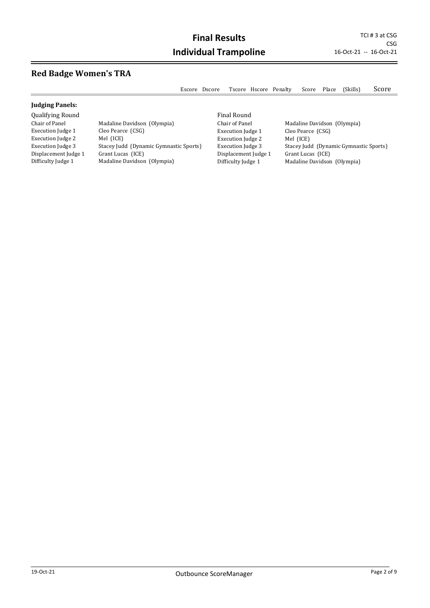$\overline{\phantom{0}}$ 

# **Red Badge Women's TRA**

|                          | Escore                                 | Dscore |                          |                | Tscore Hscore Penalty | Score                       | Place | (Skills)                               | Score |
|--------------------------|----------------------------------------|--------|--------------------------|----------------|-----------------------|-----------------------------|-------|----------------------------------------|-------|
| <b>Judging Panels:</b>   |                                        |        |                          |                |                       |                             |       |                                        |       |
| <b>Qualifying Round</b>  |                                        |        | Final Round              |                |                       |                             |       |                                        |       |
| Chair of Panel           | Madaline Davidson (Olympia)            |        |                          | Chair of Panel |                       | Madaline Davidson (Olympia) |       |                                        |       |
| Execution Judge 1        | Cleo Pearce (CSG)                      |        | <b>Execution Judge 1</b> |                |                       | Cleo Pearce (CSG)           |       |                                        |       |
| <b>Execution Judge 2</b> | Mel (ICE)                              |        | <b>Execution Judge 2</b> |                |                       | Mel (ICE)                   |       |                                        |       |
| Execution Judge 3        | Stacey Judd (Dynamic Gymnastic Sports) |        | <b>Execution Judge 3</b> |                |                       |                             |       | Stacey Judd (Dynamic Gymnastic Sports) |       |
| Displacement Judge 1     | Grant Lucas (ICE)                      |        | Displacement Judge 1     |                |                       | Grant Lucas (ICE)           |       |                                        |       |
| Difficulty Judge 1       | Madaline Davidson (Olympia)            |        | Difficulty Judge 1       |                |                       | Madaline Davidson (Olympia) |       |                                        |       |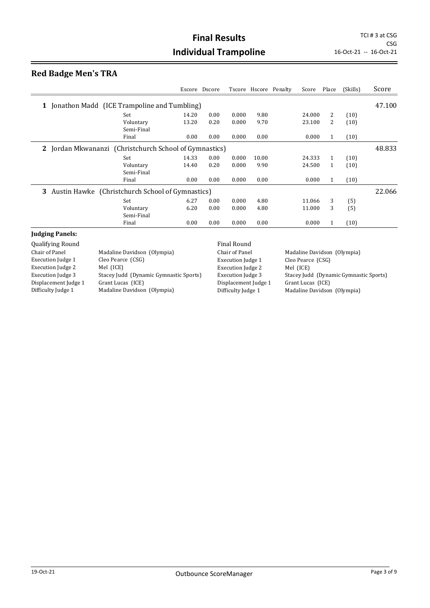# **Red Badge Men's TRA**

|                                                        |       | Escore Dscore |       |       | Tscore Hscore Penalty | Score  | Place        | (Skills) | Score  |
|--------------------------------------------------------|-------|---------------|-------|-------|-----------------------|--------|--------------|----------|--------|
| 1 Jonathon Madd (ICE Trampoline and Tumbling)          |       |               |       |       |                       |        |              |          | 47.100 |
| Set                                                    | 14.20 | 0.00          | 0.000 | 9.80  |                       | 24.000 | 2            | (10)     |        |
| Voluntary<br>Semi-Final                                | 13.20 | 0.20          | 0.000 | 9.70  |                       | 23.100 | 2            | (10)     |        |
| Final                                                  | 0.00  | 0.00          | 0.000 | 0.00  |                       | 0.000  | 1            | (10)     |        |
| 2 Jordan Mkwananzi (Christchurch School of Gymnastics) |       |               |       |       |                       |        |              |          |        |
| Set                                                    | 14.33 | 0.00          | 0.000 | 10.00 |                       | 24.333 | 1            | (10)     |        |
| Voluntary<br>Semi-Final                                | 14.40 | 0.20          | 0.000 | 9.90  |                       | 24.500 | $\mathbf{1}$ | (10)     |        |
| Final                                                  | 0.00  | 0.00          | 0.000 | 0.00  |                       | 0.000  | 1            | (10)     |        |
| 3 Austin Hawke (Christchurch School of Gymnastics)     |       |               |       |       |                       |        |              |          | 22.066 |
| Set                                                    | 6.27  | 0.00          | 0.000 | 4.80  |                       | 11.066 | 3            | (5)      |        |
| Voluntary                                              | 6.20  | 0.00          | 0.000 | 4.80  |                       | 11.000 | 3            | (5)      |        |
| Semi-Final                                             |       |               |       |       |                       |        |              |          |        |
| Final                                                  | 0.00  | 0.00          | 0.000 | 0.00  |                       | 0.000  | 1            | (10)     |        |
| <b>Judging Panels:</b>                                 |       |               |       |       |                       |        |              |          |        |

|                                        | <b>Final Round</b>       |                                        |
|----------------------------------------|--------------------------|----------------------------------------|
| Madaline Davidson (Olympia)            | Chair of Panel           | Madaline Davidson (Olympia)            |
| Cleo Pearce (CSG)                      | <b>Execution Judge 1</b> | Cleo Pearce (CSG)                      |
| Mel (ICE)                              | <b>Execution Judge 2</b> | Mel (ICE)                              |
| Stacey Judd (Dynamic Gymnastic Sports) | Execution Judge 3        | Stacey Judd (Dynamic Gymnastic Sports) |
| Grant Lucas (ICE)                      | Displacement Judge 1     | Grant Lucas (ICE)                      |
| Madaline Davidson (Olympia)            | Difficulty Judge 1       | Madaline Davidson (Olympia)            |
|                                        |                          |                                        |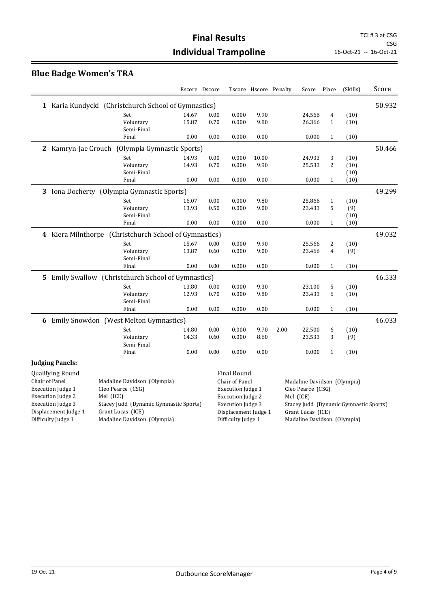# **Final Results** TCI # 3 at CSG **Individual Trampoline** 16-Oct-21 -- 16-Oct-21

#### **Blue Badge Women's TRA**

|                                                                    |       | Escore Dscore |                    | Tscore Hscore Penalty |      | Score  | Place          | (Skills) | Score  |
|--------------------------------------------------------------------|-------|---------------|--------------------|-----------------------|------|--------|----------------|----------|--------|
| Karia Kundycki (Christchurch School of Gymnastics)<br>$\mathbf{1}$ |       |               |                    |                       |      |        |                |          | 50.932 |
| Set                                                                | 14.67 | 0.00          | 0.000              | 9.90                  |      | 24.566 | 4              | (10)     |        |
| Voluntary<br>Semi-Final                                            | 15.87 | 0.70          | 0.000              | 9.80                  |      | 26.366 | $\mathbf{1}$   | (10)     |        |
| Final                                                              | 0.00  | 0.00          | 0.000              | 0.00                  |      | 0.000  | $\mathbf{1}$   | (10)     |        |
| 2 Kamryn-Jae Crouch (Olympia Gymnastic Sports)                     |       |               |                    |                       |      |        |                |          | 50.466 |
| Set                                                                | 14.93 | 0.00          | 0.000              | 10.00                 |      | 24.933 | 3              | (10)     |        |
| Voluntary                                                          | 14.93 | 0.70          | 0.000              | 9.90                  |      | 25.533 | 2              | (10)     |        |
| Semi-Final                                                         |       |               |                    |                       |      |        |                | (10)     |        |
| Final                                                              | 0.00  | 0.00          | 0.000              | 0.00                  |      | 0.000  | $\mathbf{1}$   | (10)     |        |
| 3 Iona Docherty (Olympia Gymnastic Sports)                         |       |               |                    |                       |      |        |                |          | 49.299 |
| Set                                                                | 16.07 | 0.00          | 0.000              | 9.80                  |      | 25.866 | $\mathbf{1}$   | (10)     |        |
| Voluntary                                                          | 13.93 | 0.50          | 0.000              | 9.00                  |      | 23.433 | 5              | (9)      |        |
| Semi-Final                                                         |       |               |                    |                       |      |        |                | (10)     |        |
| Final                                                              | 0.00  | 0.00          | 0.000              | 0.00                  |      | 0.000  | $\mathbf{1}$   | (10)     |        |
| 4 Kiera Milnthorpe (Christchurch School of Gymnastics)             |       |               |                    |                       |      |        |                |          | 49.032 |
| Set                                                                | 15.67 | 0.00          | 0.000              | 9.90                  |      | 25.566 | 2              | (10)     |        |
| Voluntary                                                          | 13.87 | 0.60          | 0.000              | 9.00                  |      | 23.466 | $\overline{4}$ | (9)      |        |
| Semi-Final                                                         |       |               |                    |                       |      |        |                |          |        |
| Final                                                              | 0.00  | 0.00          | 0.000              | 0.00                  |      | 0.000  | $\mathbf{1}$   | (10)     |        |
| Emily Swallow (Christchurch School of Gymnastics)<br>5.            |       |               |                    |                       |      |        |                |          | 46.533 |
| Set                                                                | 13.80 | 0.00          | 0.000              | 9.30                  |      | 23.100 | 5              | (10)     |        |
| Voluntary                                                          | 12.93 | 0.70          | 0.000              | 9.80                  |      | 23.433 | 6              | (10)     |        |
| Semi-Final                                                         |       |               |                    |                       |      |        |                |          |        |
| Final                                                              | 0.00  | 0.00          | 0.000              | 0.00                  |      | 0.000  | $\mathbf{1}$   | (10)     |        |
| Emily Snowdon (West Melton Gymnastics)<br>6                        |       |               |                    |                       |      |        |                |          | 46.033 |
| Set                                                                | 14.80 | 0.00          | 0.000              | 9.70                  | 2.00 | 22.500 | 6              | (10)     |        |
| Voluntary                                                          | 14.33 | 0.60          | 0.000              | 8.60                  |      | 23.533 | 3              | (9)      |        |
| Semi-Final                                                         |       |               |                    |                       |      |        |                |          |        |
| Final                                                              | 0.00  | 0.00          | 0.000              | 0.00                  |      | 0.000  | $\mathbf{1}$   | (10)     |        |
| <b>Judging Panels:</b>                                             |       |               |                    |                       |      |        |                |          |        |
| <b>Oualifying Round</b>                                            |       |               | <b>Final Round</b> |                       |      |        |                |          |        |

| $9.00117$ , $1.17$ , $1.00011$ |                                        |
|--------------------------------|----------------------------------------|
| Chair of Panel                 | Madaline Davidson (Olympia)            |
| Execution Judge 1              | Cleo Pearce (CSG)                      |
| <b>Execution Judge 2</b>       | Mel (ICE)                              |
| <b>Execution Judge 3</b>       | Stacey Judd (Dynamic Gymnastic Sports) |
| Displacement Judge 1           | Grant Lucas (ICE)                      |
| Difficulty Judge 1             | Madaline Davidson (Olympia)            |
|                                |                                        |

Execution Judge 1 Cleo Pearce (CSG) Execution Judge 2 Mel (ICE)<br>Execution Judge 3 Stacey Jud Displacement Judge 1 Grant Lucas (ICE)

Chair of Panel Madaline Davidson (Olympia) Stacey Judd (Dynamic Gymnastic Sports) Difficulty Judge 1 Madaline Davidson (Olympia)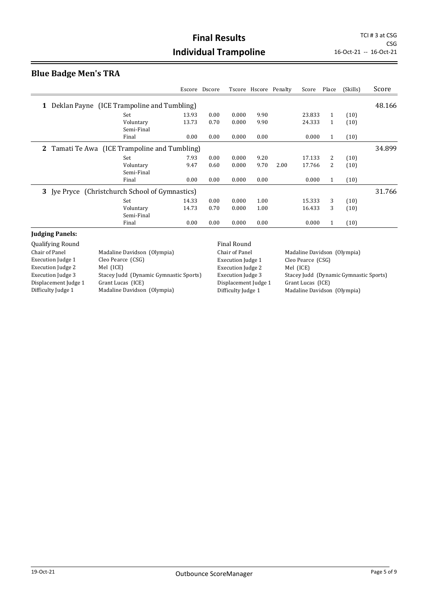# **Blue Badge Men's TRA**

|                                                    | Escore | Dscore |       |      | Tscore Hscore Penalty | Score  | Place        | (Skills) | Score  |
|----------------------------------------------------|--------|--------|-------|------|-----------------------|--------|--------------|----------|--------|
| Deklan Payne (ICE Trampoline and Tumbling)<br>1    |        |        |       |      |                       |        |              |          | 48.166 |
| Set                                                | 13.93  | 0.00   | 0.000 | 9.90 |                       | 23.833 | $\mathbf{1}$ | (10)     |        |
| Voluntary<br>Semi-Final                            | 13.73  | 0.70   | 0.000 | 9.90 |                       | 24.333 | $\mathbf{1}$ | (10)     |        |
| Final                                              | 0.00   | 0.00   | 0.000 | 0.00 |                       | 0.000  | 1            | (10)     |        |
| Tamati Te Awa (ICE Trampoline and Tumbling)<br>2   |        |        |       |      |                       |        |              |          | 34.899 |
| Set                                                | 7.93   | 0.00   | 0.000 | 9.20 |                       | 17.133 | 2            | (10)     |        |
| Voluntary<br>Semi-Final                            | 9.47   | 0.60   | 0.000 | 9.70 | 2.00                  | 17.766 | 2            | (10)     |        |
| Final                                              | 0.00   | 0.00   | 0.000 | 0.00 |                       | 0.000  | $\mathbf{1}$ | (10)     |        |
| [ye Pryce (Christchurch School of Gymnastics)<br>3 |        |        |       |      |                       |        |              |          | 31.766 |
| Set                                                | 14.33  | 0.00   | 0.000 | 1.00 |                       | 15.333 | 3            | (10)     |        |
| Voluntary<br>Semi-Final                            | 14.73  | 0.70   | 0.000 | 1.00 |                       | 16.433 | 3            | (10)     |        |
| Final                                              | 0.00   | 0.00   | 0.000 | 0.00 |                       | 0.000  | 1            | (10)     |        |
| Indoing Danoler                                    |        |        |       |      |                       |        |              |          |        |

# **Judging Panels:**<br>Qualifying Round

|                                        | <b>Final Round</b>       |                                        |
|----------------------------------------|--------------------------|----------------------------------------|
| Madaline Davidson (Olympia)            | Chair of Panel           | Madaline Davidson (Olympia)            |
| Cleo Pearce (CSG)                      | <b>Execution Judge 1</b> | Cleo Pearce (CSG)                      |
| Mel (ICE)                              | <b>Execution Judge 2</b> | Mel (ICE)                              |
| Stacey Judd (Dynamic Gymnastic Sports) | <b>Execution Judge 3</b> | Stacey Judd (Dynamic Gymnastic Sports) |
| Grant Lucas (ICE)                      | Displacement Judge 1     | Grant Lucas (ICE)                      |
| Madaline Davidson (Olympia)            | Difficulty Judge 1       | Madaline Davidson (Olympia)            |
|                                        |                          |                                        |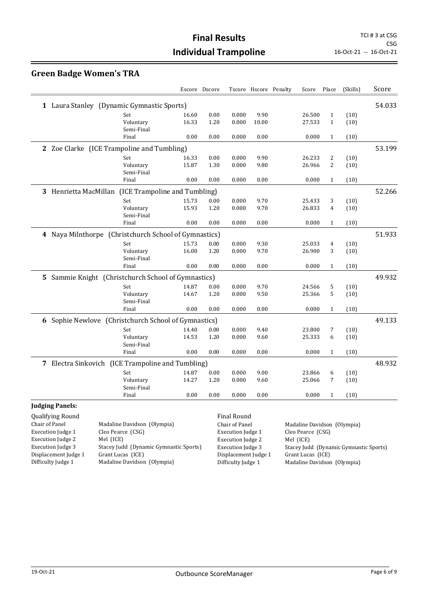# **Green Badge Women's TRA**

|                                                        |       | Escore Dscore |       |       | Tscore Hscore Penalty | Score  | Place        | (Skills) | Score  |
|--------------------------------------------------------|-------|---------------|-------|-------|-----------------------|--------|--------------|----------|--------|
| 1 Laura Stanley (Dynamic Gymnastic Sports)             |       |               |       |       |                       |        |              |          | 54.033 |
| Set                                                    | 16.60 | 0.00          | 0.000 | 9.90  |                       | 26.500 | $\mathbf{1}$ | (10)     |        |
| Voluntary                                              | 16.33 | 1.20          | 0.000 | 10.00 |                       | 27.533 | $\mathbf{1}$ | (10)     |        |
| Semi-Final                                             |       |               |       |       |                       |        |              |          |        |
| Final                                                  | 0.00  | 0.00          | 0.000 | 0.00  |                       | 0.000  | $\mathbf{1}$ | (10)     |        |
| 2 Zoe Clarke (ICE Trampoline and Tumbling)             |       |               |       |       |                       |        |              |          | 53.199 |
| Set                                                    | 16.33 | 0.00          | 0.000 | 9.90  |                       | 26.233 | 2            | (10)     |        |
| Voluntary                                              | 15.87 | 1.30          | 0.000 | 9.80  |                       | 26.966 | 2            | (10)     |        |
| Semi-Final                                             |       |               |       |       |                       |        |              |          |        |
| Final                                                  | 0.00  | 0.00          | 0.000 | 0.00  |                       | 0.000  | $\mathbf{1}$ | (10)     |        |
| 3 Henrietta MacMillan<br>(ICE Trampoline and Tumbling) |       |               |       |       |                       |        |              |          | 52.266 |
| Set                                                    | 15.73 | 0.00          | 0.000 | 9.70  |                       | 25.433 | 3            | (10)     |        |
| Voluntary                                              | 15.93 | 1.20          | 0.000 | 9.70  |                       | 26.833 | 4            | (10)     |        |
| Semi-Final                                             |       |               |       |       |                       |        |              |          |        |
| Final                                                  | 0.00  | 0.00          | 0.000 | 0.00  |                       | 0.000  | $\mathbf{1}$ | (10)     |        |
| 4 Naya Milnthorpe (Christchurch School of Gymnastics)  |       |               |       |       |                       |        |              |          | 51.933 |
| Set                                                    | 15.73 | 0.00          | 0.000 | 9.30  |                       | 25.033 | 4            | (10)     |        |
| Voluntary                                              | 16.00 | 1.20          | 0.000 | 9.70  |                       | 26.900 | 3            | (10)     |        |
| Semi-Final                                             |       |               |       |       |                       |        |              |          |        |
| Final                                                  | 0.00  | 0.00          | 0.000 | 0.00  |                       | 0.000  | $\mathbf{1}$ | (10)     |        |
| 5 Sammie Knight (Christchurch School of Gymnastics)    |       |               |       |       |                       |        |              |          | 49.932 |
| Set                                                    | 14.87 | 0.00          | 0.000 | 9.70  |                       | 24.566 | 5            | (10)     |        |
| Voluntary                                              | 14.67 | 1.20          | 0.000 | 9.50  |                       | 25.366 | 5            | (10)     |        |
| Semi-Final                                             |       |               |       |       |                       |        |              |          |        |
| Final                                                  | 0.00  | 0.00          | 0.000 | 0.00  |                       | 0.000  | $\mathbf{1}$ | (10)     |        |
| 6 Sophie Newlove (Christchurch School of Gymnastics)   |       |               |       |       |                       |        |              |          | 49.133 |
| Set                                                    | 14.40 | 0.00          | 0.000 | 9.40  |                       | 23.800 | 7            | (10)     |        |
| Voluntary                                              | 14.53 | 1.20          | 0.000 | 9.60  |                       | 25.333 | 6            | (10)     |        |
| Semi-Final                                             |       |               |       |       |                       |        |              |          |        |
| Final                                                  | 0.00  | 0.00          | 0.000 | 0.00  |                       | 0.000  | $\mathbf{1}$ | (10)     |        |
| 7 Electra Sinkovich (ICE Trampoline and Tumbling)      |       |               |       |       |                       |        |              |          | 48.932 |
| Set                                                    | 14.87 | 0.00          | 0.000 | 9.00  |                       | 23.866 | 6            | (10)     |        |
| Voluntary                                              | 14.27 | 1.20          | 0.000 | 9.60  |                       | 25.066 | 7            | (10)     |        |
| Semi-Final                                             |       |               |       |       |                       |        |              |          |        |
| Final                                                  | 0.00  | 0.00          | 0.000 | 0.00  |                       | 0.000  | $\mathbf{1}$ | (10)     |        |

#### **Judging Panels:**

| <b>Qualifying Round</b>  |                                        | Final Round              |                                        |
|--------------------------|----------------------------------------|--------------------------|----------------------------------------|
| Chair of Panel           | Madaline Davidson (Olympia)            | Chair of Panel           | Madaline Davidson (Olympia)            |
| <b>Execution Judge 1</b> | Cleo Pearce (CSG)                      | Execution Judge 1        | Cleo Pearce (CSG)                      |
| <b>Execution Judge 2</b> | Mel (ICE)                              | <b>Execution Judge 2</b> | Mel (ICE)                              |
| <b>Execution Judge 3</b> | Stacey Judd (Dynamic Gymnastic Sports) | <b>Execution Judge 3</b> | Stacey Judd (Dynamic Gymnastic Sports) |
| Displacement Judge 1     | Grant Lucas (ICE)                      | Displacement Judge 1     | Grant Lucas (ICE)                      |
| Difficulty Judge 1       | Madaline Davidson (Olympia)            | Difficulty Judge 1       | Madaline Davidson (Olympia)            |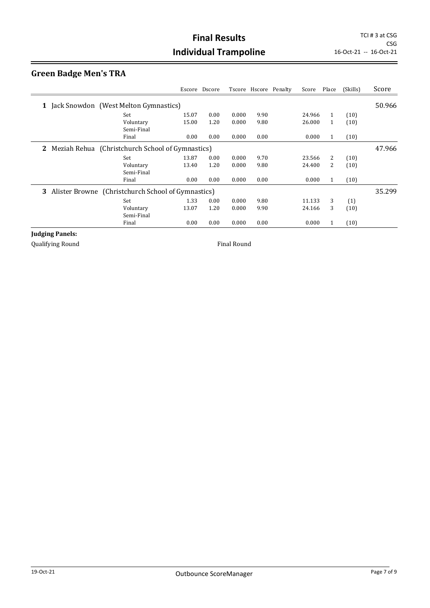# **Green Badge Men's TRA**

|                                                      |       | Escore Dscore |       |      | Tscore Hscore Penalty | Score  | Place | (Skills) | Score  |
|------------------------------------------------------|-------|---------------|-------|------|-----------------------|--------|-------|----------|--------|
| 1 Jack Snowdon (West Melton Gymnastics)              |       |               |       |      |                       |        |       |          | 50.966 |
| Set                                                  | 15.07 | 0.00          | 0.000 | 9.90 |                       | 24.966 | 1     | (10)     |        |
| Voluntary                                            | 15.00 | 1.20          | 0.000 | 9.80 |                       | 26.000 | 1     | (10)     |        |
| Semi-Final                                           |       |               |       |      |                       |        |       |          |        |
| Final                                                | 0.00  | 0.00          | 0.000 | 0.00 |                       | 0.000  | 1     | (10)     |        |
| 2 Meziah Rehua (Christchurch School of Gymnastics)   |       |               |       |      |                       |        |       |          | 47.966 |
| Set                                                  | 13.87 | 0.00          | 0.000 | 9.70 |                       | 23.566 | 2     | (10)     |        |
| Voluntary                                            | 13.40 | 1.20          | 0.000 | 9.80 |                       | 24.400 | 2     | (10)     |        |
| Semi-Final                                           |       |               |       |      |                       |        |       |          |        |
| Final                                                | 0.00  | 0.00          | 0.000 | 0.00 |                       | 0.000  | 1     | (10)     |        |
| 3 Alister Browne (Christchurch School of Gymnastics) |       |               |       |      |                       |        |       |          | 35.299 |
| Set                                                  | 1.33  | 0.00          | 0.000 | 9.80 |                       | 11.133 | 3     | (1)      |        |
| Voluntary                                            | 13.07 | 1.20          | 0.000 | 9.90 |                       | 24.166 | 3     | (10)     |        |
| Semi-Final                                           |       |               |       |      |                       |        |       |          |        |
| Final                                                | 0.00  | 0.00          | 0.000 | 0.00 |                       | 0.000  | 1     | (10)     |        |

#### **Judging Panels:**

Qualifying Round **Final Round Final Round**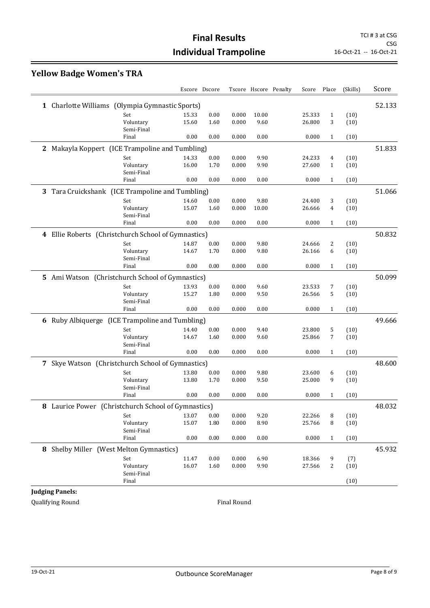CSG<br>16-Oct-21 -- 16-Oct-21

# **Yellow Badge Women's TRA**

|                                                      |       | Escore Dscore |       |       | Tscore Hscore Penalty | Score  | Place        | (Skills) | Score  |
|------------------------------------------------------|-------|---------------|-------|-------|-----------------------|--------|--------------|----------|--------|
| 1 Charlotte Williams (Olympia Gymnastic Sports)      |       |               |       |       |                       |        |              |          | 52.133 |
| Set                                                  | 15.33 | 0.00          | 0.000 | 10.00 |                       | 25.333 | $\mathbf{1}$ | (10)     |        |
| Voluntary                                            | 15.60 | 1.60          | 0.000 | 9.60  |                       | 26.800 | 3            | (10)     |        |
| Semi-Final                                           |       |               |       |       |                       |        |              |          |        |
| Final                                                | 0.00  | 0.00          | 0.000 | 0.00  |                       | 0.000  | $\mathbf{1}$ | (10)     |        |
| 2 Makayla Koppert (ICE Trampoline and Tumbling)      |       |               |       |       |                       |        |              |          | 51.833 |
| Set                                                  | 14.33 | 0.00          | 0.000 | 9.90  |                       | 24.233 | 4            | (10)     |        |
| Voluntary                                            | 16.00 | 1.70          | 0.000 | 9.90  |                       | 27.600 | $\mathbf{1}$ | (10)     |        |
| Semi-Final                                           |       |               |       |       |                       |        |              |          |        |
| Final                                                | 0.00  | 0.00          | 0.000 | 0.00  |                       | 0.000  | $\mathbf{1}$ | (10)     |        |
| 3 Tara Cruickshank (ICE Trampoline and Tumbling)     |       |               |       |       |                       |        |              |          | 51.066 |
| Set                                                  | 14.60 | 0.00          | 0.000 | 9.80  |                       | 24.400 | 3            | (10)     |        |
| Voluntary                                            | 15.07 | 1.60          | 0.000 | 10.00 |                       | 26.666 | 4            | (10)     |        |
| Semi-Final                                           |       |               |       |       |                       |        |              |          |        |
| Final                                                | 0.00  | 0.00          | 0.000 | 0.00  |                       | 0.000  | $\mathbf{1}$ | (10)     |        |
| 4 Ellie Roberts (Christchurch School of Gymnastics)  |       |               |       |       |                       |        |              |          | 50.832 |
| Set                                                  | 14.87 | 0.00          | 0.000 | 9.80  |                       | 24.666 | 2            | (10)     |        |
| Voluntary                                            | 14.67 | 1.70          | 0.000 | 9.80  |                       | 26.166 | 6            | (10)     |        |
| Semi-Final                                           |       |               |       |       |                       |        |              |          |        |
| Final                                                | 0.00  | 0.00          | 0.000 | 0.00  |                       | 0.000  | $\mathbf{1}$ | (10)     |        |
| 5 Ami Watson (Christchurch School of Gymnastics)     |       |               |       |       |                       |        |              |          | 50.099 |
| Set                                                  | 13.93 | 0.00          | 0.000 | 9.60  |                       | 23.533 | 7            | (10)     |        |
| Voluntary                                            | 15.27 | 1.80          | 0.000 | 9.50  |                       | 26.566 | 5            | (10)     |        |
| Semi-Final                                           |       |               |       |       |                       |        |              |          |        |
| Final                                                | 0.00  | 0.00          | 0.000 | 0.00  |                       | 0.000  | $\mathbf{1}$ | (10)     |        |
| 6 Ruby Albiquerge (ICE Trampoline and Tumbling)      |       |               |       |       |                       |        |              |          | 49.666 |
| Set                                                  | 14.40 | 0.00          | 0.000 | 9.40  |                       | 23.800 | 5            | (10)     |        |
| Voluntary                                            | 14.67 | 1.60          | 0.000 | 9.60  |                       | 25.866 | 7            | (10)     |        |
| Semi-Final                                           |       |               |       |       |                       |        |              |          |        |
| Final                                                | 0.00  | 0.00          | 0.000 | 0.00  |                       | 0.000  | $\mathbf{1}$ | (10)     |        |
| Skye Watson (Christchurch School of Gymnastics)<br>7 |       |               |       |       |                       |        |              |          | 48.600 |
| Set                                                  | 13.80 | 0.00          | 0.000 | 9.80  |                       | 23.600 | 6            | (10)     |        |
| Voluntary                                            | 13.80 | 1.70          | 0.000 | 9.50  |                       | 25.000 | 9            | (10)     |        |
| Semi-Final                                           |       |               |       |       |                       |        |              |          |        |
| Final                                                | 0.00  | 0.00          | 0.000 | 0.00  |                       | 0.000  | 1            | (10)     |        |
| 8 Laurice Power (Christchurch School of Gymnastics)  |       |               |       |       |                       |        |              |          | 48.032 |
| Set                                                  | 13.07 | 0.00          | 0.000 | 9.20  |                       | 22.266 | 8            | (10)     |        |
| Voluntary                                            | 15.07 | 1.80          | 0.000 | 8.90  |                       | 25.766 | 8            | (10)     |        |
| Semi-Final                                           |       |               |       |       |                       | 0.000  |              |          |        |
| Final                                                | 0.00  | 0.00          | 0.000 | 0.00  |                       |        | $\mathbf{1}$ | (10)     |        |
| 8 Shelby Miller (West Melton Gymnastics)             |       |               |       |       |                       |        |              |          | 45.932 |
| Set                                                  | 11.47 | 0.00          | 0.000 | 6.90  |                       | 18.366 | 9            | (7)      |        |
| Voluntary                                            | 16.07 | 1.60          | 0.000 | 9.90  |                       | 27.566 | 2            | (10)     |        |
| Semi-Final                                           |       |               |       |       |                       |        |              |          |        |
| Final                                                |       |               |       |       |                       |        |              | (10)     |        |

**Judging Panels:**

Qualifying Round **Final Round Final Round**